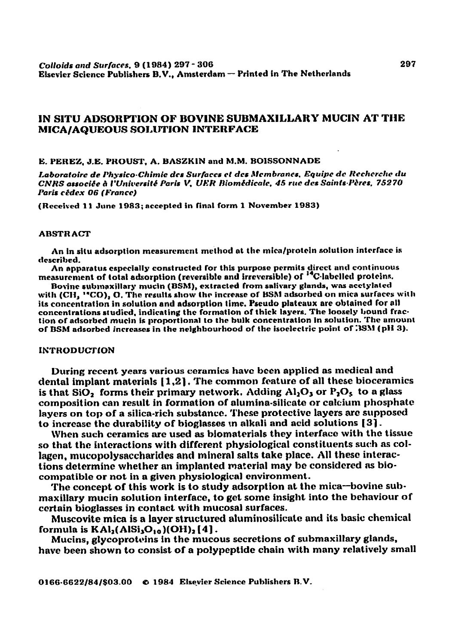# IN SITU ADSORPTION OF BOVINE SUBMAXILLARY MUCIN AT THE **MICA/AQUEOUS SOLUTION INTERFACE**

E. PEREZ, J.E. PROUST, A. BASZKIN and M.M. BOISSONNADE

Laboratoire de Physico-Chimie des Surfaces et des Membranes, Equipe de Recherche du CNRS associée à l'Université Paris V. UER Biomédicale, 45 rue des Saints-Pères, 75270 Paris cédex 06 (France)

(Received 11 June 1983; accepted in final form 1 November 1983)

#### **ABSTRACT**

An in situ adsorption measurement method at the mica/protein solution interface is described.

An apparatus especially constructed for this purpose permits direct and continuous measurement of total adsorption (reversible and irreversible) of <sup>14</sup>C-labelled proteins.

Bovine submaxillary mucin (BSM), extracted from salivary glands, was acetylated with (CH, "CO), O. The results show the increase of BSM adsorbed on mica surfaces with its concentration in solution and adsorption time. Pseudo plateaux are obtained for all concentrations studied, indicating the formation of thick layers. The loosely bound fraction of adsorbed mucin is proportional to the bulk concentration in solution. The amount of BSM adsorbed increases in the neighbourhood of the isoelectric point of 3SM (pH 3).

#### **INTRODUCTION**

During recent years various ceramics have been applied as medical and dental implant materials [1,2]. The common feature of all these bioceramics is that SiO<sub>2</sub> forms their primary network. Adding  $Al_2O_3$  or  $P_2O_5$  to a glass composition can result in formation of alumina-silicate or calcium phosphate lavers on top of a silica-rich substance. These protective layers are supposed to increase the durability of bioglasses in alkali and acid solutions [3].

When such ceramics are used as biomaterials they interface with the tissue so that the interactions with different physiological constituents such as collagen, mucopolysaccharides and mineral salts take place. All these interactions determine whether an implanted material may be considered as biocompatible or not in a given physiological environment.

The concept of this work is to study adsorption at the mica-bovine submaxillary mucin solution interface, to get some insight into the behaviour of certain bioglasses in contact with mucosal surfaces.

Muscovite mica is a layer structured aluminosilicate and its basic chemical formula is  $KAI<sub>2</sub>(AISi<sub>3</sub>O<sub>10</sub>)(OH)<sub>2</sub>[4]$ .

Mucins, glycoproteins in the mucous secretions of submaxillary glands, have been shown to consist of a polypeptide chain with many relatively small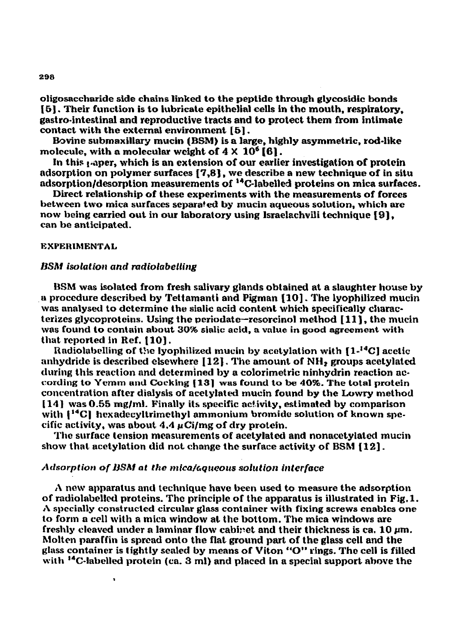**oligosaccharide side chains linked to the peptide through glycosidic bonds i5]. Their function is to lubricate epithelial cells in the mouth. respiratory, gastro-intesttnal and reproductive tracts and to protect them from intimate contact with the external environment** [Sl .

**Bovine submaxiltary** mucin (IBM) **is a large, highly asymmetric, rod-like molecule, with a molecular weight of 4 X IO6** [S] .

In this <sub>1</sub> aper, which is an extension of our earlier investigation of protein **adsorption on polymer surfaces [7,8), we describe a new technique of in situ**  adsorption/desorption measurements of <sup>14</sup>C-labelled proteins on mica surfaces.

**Direct relationship** of **these experiments with the measurements of forces**  between two mica surfaces separated by mucin aqueous solution, which are **now** being **carried out in** our **laboratory using lsraelachvili technique 191,**  can be anticipated.

## **EXPERIMENTAL**

## **BSM** isolation and radiolabelling

 $\bullet$ 

BSM was isolated from fresh salivary glands obtained at a slaughter house by a procedure described by Tettamanti and Pigman [10]. The lyophilized mucin was analysed to determine the sialic acid content which specifically charac**terizcs glycoprotcins, Using the periodate-resorcinol method [ 111, the mucln was found to contain about 30% sialic acid, a value in good agreement with**  that reported in Ref. [10].

12ndiolabclling **of t31c lyophilized mucin by acotylation with [l-"'C J acelic anhydride is described elsewhere (121.** The **amount of NH3 groups acctylated during this reaction and determined by a colorimettric ninhydrin reaction nccording to Yemm and Cocking (131 was found to be 40%. The total protein concentration after dialysis of acetyIat& mucin found by t-he Lowry method**  [ **141 was 0.55 mglml. Finally its specific activity, estimated by comparison**  with <sup>[44</sup>C] hexadecyltrimethyl ammonium bromide solution of known spe**cific activity, was about 4.4 pCi/mg of dry protein.** 

**The surface tension measurements of acetylated** and nonacctylated **mucin show that acetylation did not change the surface activity of BSM 1121.** 

# Adsorption of BSM at the mica/aqueous solution interface

**A new apparatus and technique have been used to measure the adsorption**  of radiolabelled proteins. The principle of the apparatus is illustrated in Fig. 1. **A specially constructed circular glass container with fixing screws enables one to form a cell with a mica window at the bottom. The mica windows are**  freshly cleaved under a laminar flow cabinet and their thickness is ca. 10  $\mu$ m. **Molten paraffin is spread onto** the **flat ground part of the glass cell and the glass container is tightly sealed by means of Viton "0" rings. The cell is filied with "C-labelled protein (ca. 3 ml) and placed in a special support above the**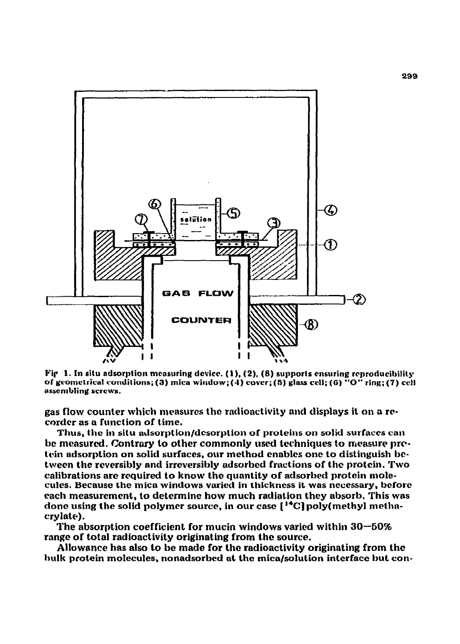

**Pif 1. In situ adsorption measuring dcvicc.** (I), (2). (8) **~upport5 ensuring rcproducibilitg of gcomctrical conditions; (3) mica window; (4) cover; (5) glaxs cell; (6) "0" ring; (7) ceil as5cmbling screws.** 

gas flow counter which measures the radioactivity and displays it on a recorder as a function of time.

Thus, the in situ adsorption/desorption of proteins on solid surfaces can be measured. Contrary to other commonly used techniques to measure protein adsorption on solid surfaces, our method enables one to distinguish be**ttvecn the reversibly and irreversibly adsorbed fractions of the protein. Two calibrations are required to know the quantity of adsorbed protein molecules. Because the mica windows varied in thickness it was necessary, bcforc each measurement, to determine how much radiation they absorb. This was done using the solid polymer source, in our case ["Cl poly(methy1 methacrylate).** 

**The absorption coefficient for mucin windows varied within 30--50% range of total radioactivity originating from the source.** 

**Allowance has also to be made for the radioactivity originating from the hulk protein molecules, nonadsorbed at the mica/solution interface but con-**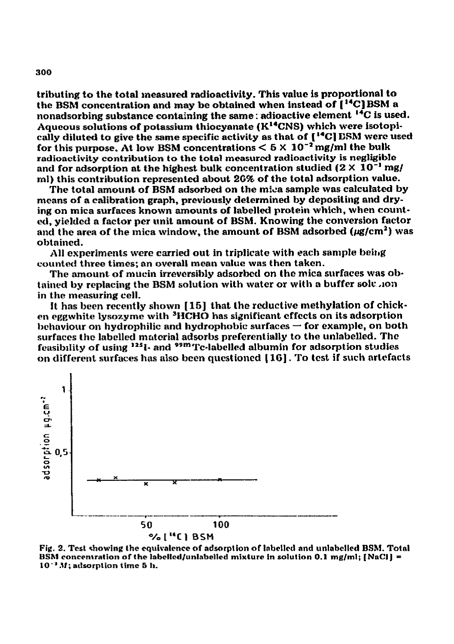**tributing to the total measured radioactivity. This value is proportional to the BSM concentration and may be obtained when instead of [ "C) BSM a nonadsorbing substance containing the same** : **adioactive element 14C is used. Aqueous solutions of potassium thiocyanate (K'\*CNS) which were isotopb tally diluted to give the same specific activity as that of [\*\*Cl CSIU were used**  for this purpose. At low BSM concentrations  $\leq 5 \times 10^{-2}$  mg/ml the bulk radioactivity contribution to the total measured radioactivity is negligible and for adsorption at the highest bulk concentration studied  $(2 \times 10^{-1} \text{ mg})$ ml) this contribution represented about 26% of the total adsorption value.

**The total amount of BSM adsorbed** *on* **the mida sample was calculated by means of a calibration graph, previously determined by depositiug and dry**ing on mica surfaces known amounts of labelled protein which, when count**ed, yielded a factor per unit amount of BSM. Knowing the conversion factor**  and the area of the mica window, the amount of BSM adsorbed ( $\mu$ g/cm<sup>2</sup>) was **obtained.** 

**All experiments were carried out in triplicate with each sample beitlg counted three times; an overall mean value was then taken.** 

**The amount of mucin irreversibly adsorbed on the mica surfaces was ab**tained by replacing the BSM solution with water or with a buffer solution **in the measuring cell.** 

It has been recently shown [15] that the reductive methylation of chicken eggwhite lysozyme with <sup>3</sup>HCHO has significant effects on its adsorption behaviour on hydrophilic and hydrophobic surfaces – for example, on both **surfaces the labclled mzrtcrial adsorbs preferentially to the unlabelled. The feasibdity af using '\*'I- and P9mTc-lnbeIld albumin for adsorption studies on different. surfaces has also been questioned** [ lG] . **To test if such artefacts** 



**Fig. 2. Test 4wwing the equivalence of adsorption of labellcd and unlabclled BSII. Tatal BSM** concentration of the labelled/unlabelled mixture in solution 0.1 mg/ml; [NaCl] = **lO".'If; adsorplion time 5 IL**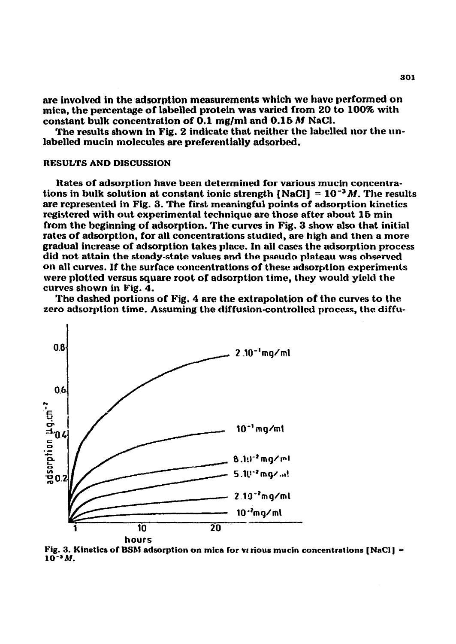**are involved in the adsorption measurements which we have performed on mica, the percentage of labelled protein was varied from 20 to 100% with constant bulk concentration of 0.1 mg/ml and 0.15 M NaCl.** 

**The results shown in Fig. 2 indicate that neither the labclled nor the unlabelled mucin molecules are preferentially adsorbed.** 

#### **RKSULTS AND DISCUSSION**

**Rates of adsorption have been determined for various mucin concentrations in bulk solution at constant ionic strength**  $[NaCl] = 10^{-3}M$ **. The results** are represented in Fig. 3. The first meaningful points of adsorption kinetics **registered with out experimental technique are those after about 16 min from the beginning of adsorption. The curves in Fig. 3 show also that initial**  rates of adsorption, for all concentrations studied, are high and then a more **gradual increase of adsorption takes place. In all cases the adsorption process did not attain the steady-state values and the pseudo plateau was observed on all curves. If the surface concentrations of these adsorption experiments were plotted versus square root of adsorptIon time, they** would **yield the curves shown in Fig. 4.** 

The dashed portions of Fig. 4 are the extrapolation of the curves to the **zero adsorption time. Assuming the dtffusion-controlled process, the diffu-**



**Fig. 3. Kinetics of BSM adsorption on mica for verious mucin concentrations [NaCl] = 10-1M.**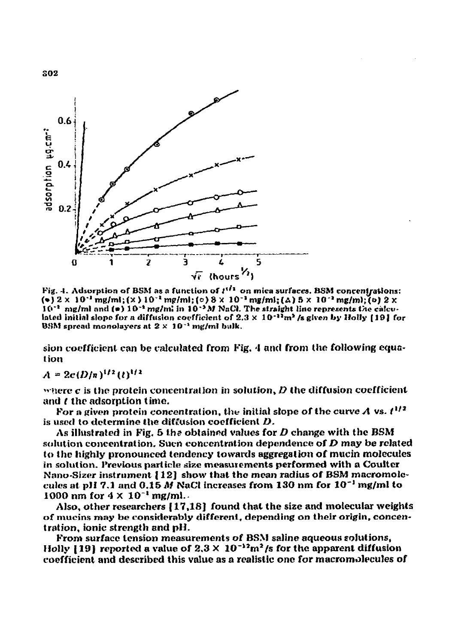

Fig. 4. Adsorption of BSM as a function of  $t^{(l)}$  on mica surfaces. BSM concentrations: (\*)  $2 \times 10^{-1}$  mg/ml; (x )  $10^{-2}$  mg/ml; (o)  $8 \times 10^{-2}$  mg/ml; ( $\Delta$ )  $5 \times 10^{-2}$  mg/ml; (o)  $2 \times$  $10^{-2}$  mg/ml and (\*)  $10^{-2}$  mg/ml in  $10^{-2}M$  NaCl. The straight line represents the calculated initial slope for a diffusion coefficient of  $2.3 \times 10^{-11}$ m<sup>2</sup> /s given by Holly [19] for BSM spread monolayers at  $2 \times 10^{-1}$  mg/ml bulk.

sion coefficient can be calculated from Fig. 4 and from the following equation

# $A = 2c(D/n)^{1/2} (t)^{1/2}$

where  $\boldsymbol{c}$  is the protein concentration in solution,  $\boldsymbol{D}$  the diffusion coefficient and *t* the adsorption time.

For a given protein concentration, the initial slope of the curve A vs.  $t^{1/2}$ is used to determine the diffusion coefficient  $D$ .

As illustrated in Fig. 5 the obtained values for  $D$  change with the BSM solution concentration. Such concentration dependence of  $D$  may be related to the highly pronounced tendency towards aggregation of mucin molecules in solution. Previous particle size measurements performed with a Coulter Nano-Sizer instrument [12] show that the mean radius of BSM macromolecules at pH 7.1 and 0.15 M NaCl increases from 130 nm for 10<sup>-1</sup> mg/ml to 1000 nm for  $4 \times 10^{-1}$  mg/ml.

Also, other researchers [17,18] found that the size and molecular weights of mucins may be considerably different, depending on their origin, concentration, ionic strength and pH.

From surface tension measurements of BSM saline aqueous solutions, Holly [19] reported a value of  $2.3 \times 10^{-12}$  m<sup>2</sup>/s for the apparent diffusion coefficient and described this value as a realistic one for macromolecules of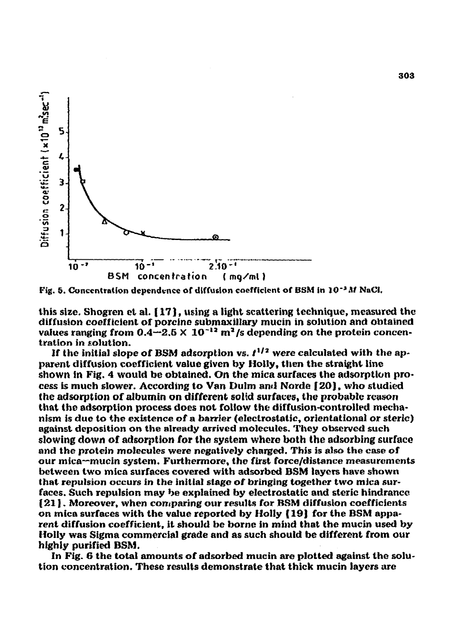

Fig. 5. Concentration dependence of diffusion coefficient of BSM in 10<sup>-3</sup> M NaCl.

**this size, Shogren et al. [ 171, using a light scattering technique, measured the**  diffusion coefficient of porcine submaxillary mucin in solution and obtained *values ranging from 0.4* $\div$ *2.5*  $\times$  *10<sup>-12</sup> m<sup>2</sup>/s depending on the protein concen***tration In solution.** 

If the initial slope of BSM adsorption vs.  $t^{1/2}$  were calculated with the ap**parent diffusion coefficient value given by Holly, then the straight hnc**  shown in Fig. 4 would be obtained. On the mica surfaces the adsorption pro**cess is much slower, According to Van Dulm anrl Norde [ 20). who studied the adsorption of albumin on different solid surfaces, the probable reason that the adsorption process does not follow the diffusion-controlied mechanism is due to the existence of a barrier (electrostatic, orientational or steric) against deposition on the already arrived molecules. They observed such slowing down of adsorption for the system where both the adsorbing surface** and the protein molecules were negatively charged. This is also the case of **our mica-mucin system. Furthermore, the first force/distance measurements between two mica surfaces covered with adsorbed BSM layers have shown that repulsion occurs in the initial stage of bringing together two mica surfaces. Such repulsion may be explained by electrostatic and steric hlndrancc 121].** Moreover, **when comparing our results for BSM diffusion coefficients on mica surfaces with the value reported by Holly ( 191 for the BSM apparent diffusion coefficient, it should be borne in mind that** the mucin used **by Holly was Sigma commercial grade and as such should be different from our highly purified BSM.** 

**In Fig. 6 the total amounts of adsorbed mucin are plotted against the solution concentration. These results demonstrate that thick mucin layers are**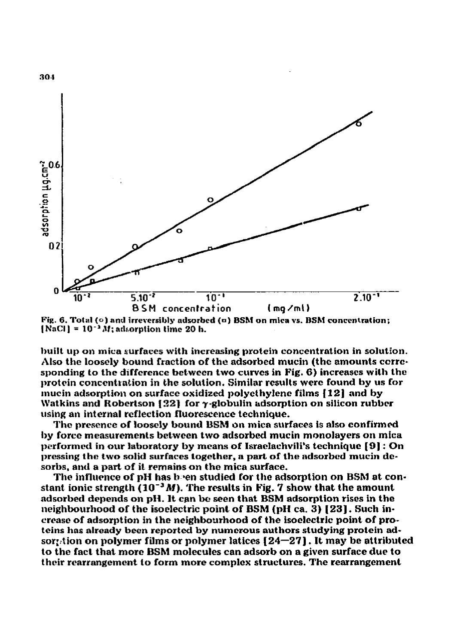

Fig. 6. Total (o) and irreversibly adsorbed (o) BSM on mica vs. BSM concentration: [NaCl] =  $10^{-1}$  M; adsorption time 20 h.

**built up on mica surfaces with increasing protein concentration in solution.** Also the loosely bound fraction of the adsorbed mucin (the amounts corresponding to the difference between two curves in Fig. 6) increases with the **protein conccnt,ration in the solution. Similar results were found by us for mucin adsorption on surface oxidized polyethylene films 1121 and by**  Watkins and Robertson [22] for  $\gamma$ -globulin adsorption on silicon rubber **using an internal rcfIection fiuorescencc technique.** 

The presence **of loosely bound BSM** on mica surfaces is also confirmed **by force measurcrncnk between two adsorbed mucin monolayers** on **mica p~formcd** in our **laboratory by means of Isracirachvili's technique [9]** : **On**  pressing the two solid surfaces together, a part of the adsorbed mucin de**sorbs. and a part of it remains on the mica surface.** 

**The influence of pH has b-en studied for the adsorption on BSM at constant ionic strength (10-3M). The results in Fig. 7 show that Ihe amount adsorbed depends on pI1. It can by seen that BShl adsorption rises in the neighbourhood of the isoeIectric point of BShl (pH ca. 3) [ 231. Such in**crease of adsorption in the neighbourhood of the isoelectric point of pro**teins has already been reported** *by* **numerous authors studying protein adsor:.-tion on polymer films or polymer latices [24--271. It may be attributed to the fact that more BSM molecules can adsorb on a given surface due to**  their **rearrangement to form more complex structures. The rearrangement**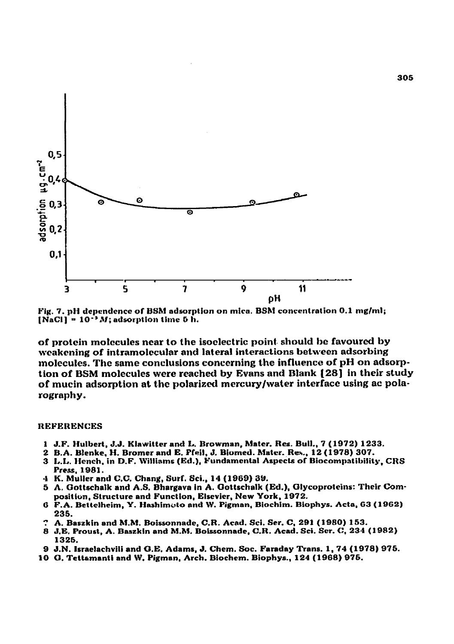

*Fig. 7.* **pH dependence of BShl adsorption on mlra. BShf concentration 0.1 mglml;**   $[NaCl] = 10^{-3} M$ ; adsorption time 5 h.

**of protein molecules near to the isoelectric point. should be favourcd by weakening of intramolecular and lateral interactions between adsorbing molecules. The same conclusions concerning the influence of pH on adsorption of BSM molecules were reached by Evans and Blank [ZS] in their study**  of mucin adsorption at the polarized mercury/water interface using ac pola**rography.** 

#### **REFERENCES**

- **J.F. Hulbert, J.J. Klawitter and L. Browman, Mater. Res. Bull., 7 (1972) 1233.**
- **B.A. Blenke, H. Bromer and E. Well. J. Riomed. Mater. Reh., 12 (1978) 307.**
- **L.L. Hench, in D.F. Willtams (Kd.), Fundrmcntat Aspects of Bincompatibility, CRS Press. 1981.**
- *K. Muller and C.C,* **Chang, Surf. Sci., 14 (1969) 39.**
- 5 A. Gottschalk and A.S. Bhargava in A. Gottschalk (Ed.), Glycoproteins: Their Composition, Structure and Function, Elsevier, New York, 1972.
- *F.A.* **Bettclheim, Y. Hashimoto and W. Pigman, Biochim. Biophys. Acts, 63 (1962) 23s.**
- **A, Reszkin and MM. Roissonnade, C.R. Aced. Sci.** *Ser. C,* **291 (1980) 153.**
- **J.E. Proust,** *A.* **Baszkin and M.M. Boissonnade, C.R. Acad. Sci. Ser. C, 234 (1982) 1326.**
- **J.N. Israelachvili and O.E. Adams, J. Chcm. Sot. Faraday Trans. 1,74 (1978) 976.**
- **0, Tettamanti and \$5'. Pigman, Arch.** *Biochem.* **Biophys., 124 (1968) 976.**